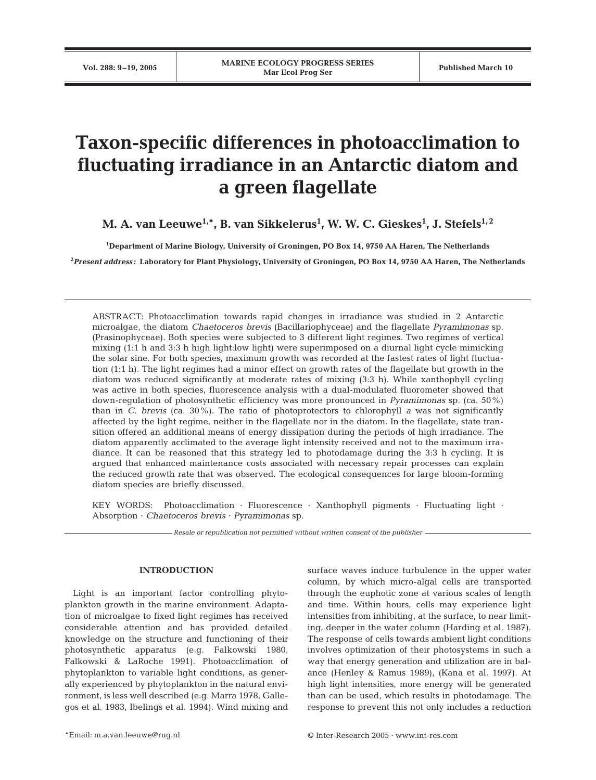# **Taxon-specific differences in photoacclimation to fluctuating irradiance in an Antarctic diatom and a green flagellate**

M. A. van Leeuwe<sup>1,</sup>\*, B. van Sikkelerus<sup>1</sup>, W. W. C. Gieskes<sup>1</sup>, J. Stefels<sup>1,2</sup>

**1 Department of Marine Biology, University of Groningen, PO Box 14, 9750 AA Haren, The Netherlands**

**2** *Present address:* **Laboratory for Plant Physiology, University of Groningen, PO Box 14, 9750 AA Haren, The Netherlands**

ABSTRACT: Photoacclimation towards rapid changes in irradiance was studied in 2 Antarctic microalgae, the diatom *Chaetoceros brevis* (Bacillariophyceae) and the flagellate *Pyramimonas* sp. (Prasinophyceae). Both species were subjected to 3 different light regimes. Two regimes of vertical mixing (1:1 h and 3:3 h high light:low light) were superimposed on a diurnal light cycle mimicking the solar sine. For both species, maximum growth was recorded at the fastest rates of light fluctuation (1:1 h). The light regimes had a minor effect on growth rates of the flagellate but growth in the diatom was reduced significantly at moderate rates of mixing (3:3 h). While xanthophyll cycling was active in both species, fluorescence analysis with a dual-modulated fluorometer showed that down-regulation of photosynthetic efficiency was more pronounced in *Pyramimonas* sp. (ca. 50%) than in *C. brevis* (ca. 30%). The ratio of photoprotectors to chlorophyll *a* was not significantly affected by the light regime, neither in the flagellate nor in the diatom. In the flagellate, state transition offered an additional means of energy dissipation during the periods of high irradiance. The diatom apparently acclimated to the average light intensity received and not to the maximum irradiance. It can be reasoned that this strategy led to photodamage during the 3:3 h cycling. It is argued that enhanced maintenance costs associated with necessary repair processes can explain the reduced growth rate that was observed. The ecological consequences for large bloom-forming diatom species are briefly discussed.

KEY WORDS: Photoacclimation · Fluorescence · Xanthophyll pigments · Fluctuating light · Absorption · *Chaetoceros brevis* · *Pyramimonas* sp.

*Resale or republication not permitted without written consent of the publisher*

## **INTRODUCTION**

Light is an important factor controlling phytoplankton growth in the marine environment. Adaptation of microalgae to fixed light regimes has received considerable attention and has provided detailed knowledge on the structure and functioning of their photosynthetic apparatus (e.g. Falkowski 1980, Falkowski & LaRoche 1991). Photoacclimation of phytoplankton to variable light conditions, as generally experienced by phytoplankton in the natural environment, is less well described (e.g. Marra 1978, Gallegos et al. 1983, Ibelings et al. 1994). Wind mixing and surface waves induce turbulence in the upper water column, by which micro-algal cells are transported through the euphotic zone at various scales of length and time. Within hours, cells may experience light intensities from inhibiting, at the surface, to near limiting, deeper in the water column (Harding et al. 1987). The response of cells towards ambient light conditions involves optimization of their photosystems in such a way that energy generation and utilization are in balance (Henley & Ramus 1989), (Kana et al. 1997). At high light intensities, more energy will be generated than can be used, which results in photodamage. The response to prevent this not only includes a reduction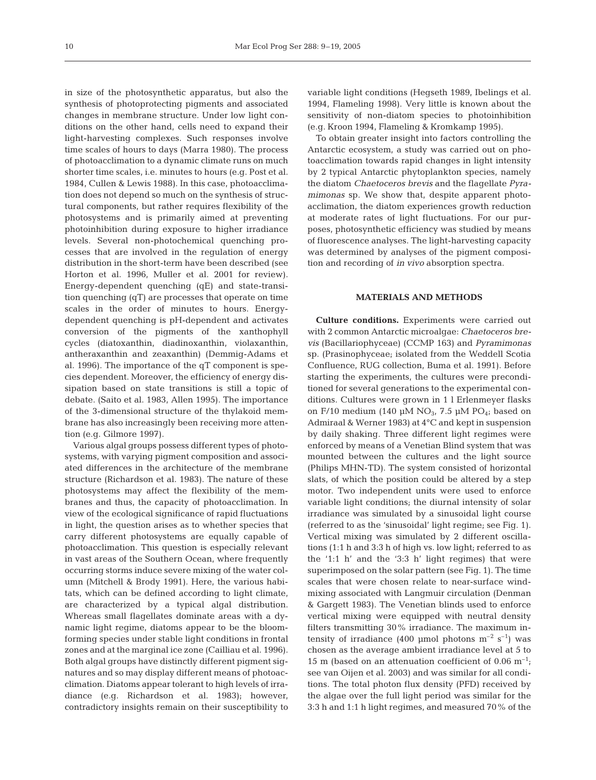in size of the photosynthetic apparatus, but also the synthesis of photoprotecting pigments and associated changes in membrane structure. Under low light conditions on the other hand, cells need to expand their light-harvesting complexes. Such responses involve time scales of hours to days (Marra 1980). The process of photoacclimation to a dynamic climate runs on much shorter time scales, i.e. minutes to hours (e.g. Post et al. 1984, Cullen & Lewis 1988). In this case, photoacclimation does not depend so much on the synthesis of structural components, but rather requires flexibility of the photosystems and is primarily aimed at preventing photoinhibition during exposure to higher irradiance levels. Several non-photochemical quenching processes that are involved in the regulation of energy distribution in the short-term have been described (see Horton et al. 1996, Muller et al. 2001 for review). Energy-dependent quenching (qE) and state-transition quenching (qT) are processes that operate on time scales in the order of minutes to hours. Energydependent quenching is pH-dependent and activates conversion of the pigments of the xanthophyll cycles (diatoxanthin, diadinoxanthin, violaxanthin, antheraxanthin and zeaxanthin) (Demmig-Adams et al. 1996). The importance of the qT component is species dependent. Moreover, the efficiency of energy dissipation based on state transitions is still a topic of debate. (Saito et al. 1983, Allen 1995). The importance of the 3-dimensional structure of the thylakoid membrane has also increasingly been receiving more attention (e.g. Gilmore 1997).

Various algal groups possess different types of photosystems, with varying pigment composition and associated differences in the architecture of the membrane structure (Richardson et al. 1983). The nature of these photosystems may affect the flexibility of the membranes and thus, the capacity of photoacclimation. In view of the ecological significance of rapid fluctuations in light, the question arises as to whether species that carry different photosystems are equally capable of photoacclimation. This question is especially relevant in vast areas of the Southern Ocean, where frequently occurring storms induce severe mixing of the water column (Mitchell & Brody 1991). Here, the various habitats, which can be defined according to light climate, are characterized by a typical algal distribution. Whereas small flagellates dominate areas with a dynamic light regime, diatoms appear to be the bloomforming species under stable light conditions in frontal zones and at the marginal ice zone (Cailliau et al. 1996). Both algal groups have distinctly different pigment signatures and so may display different means of photoacclimation. Diatoms appear tolerant to high levels of irradiance (e.g. Richardson et al. 1983); however, contradictory insights remain on their susceptibility to

variable light conditions (Hegseth 1989, Ibelings et al. 1994, Flameling 1998). Very little is known about the sensitivity of non-diatom species to photoinhibition (e.g. Kroon 1994, Flameling & Kromkamp 1995).

To obtain greater insight into factors controlling the Antarctic ecosystem, a study was carried out on photoacclimation towards rapid changes in light intensity by 2 typical Antarctic phytoplankton species, namely the diatom *Chaetoceros brevis* and the flagellate *Pyramimonas* sp. We show that, despite apparent photoacclimation, the diatom experiences growth reduction at moderate rates of light fluctuations. For our purposes, photosynthetic efficiency was studied by means of fluorescence analyses. The light-harvesting capacity was determined by analyses of the pigment composition and recording of *in vivo* absorption spectra.

## **MATERIALS AND METHODS**

**Culture conditions.** Experiments were carried out with 2 common Antarctic microalgae: *Chaetoceros brevis* (Bacillariophyceae) (CCMP 163) and *Pyramimonas* sp. (Prasinophyceae; isolated from the Weddell Scotia Confluence, RUG collection, Buma et al. 1991). Before starting the experiments, the cultures were preconditioned for several generations to the experimental conditions. Cultures were grown in 1 l Erlenmeyer flasks on F/10 medium (140 µM  $NO<sub>3</sub>$ , 7.5 µM  $PO<sub>4</sub>$ ; based on Admiraal & Werner 1983) at 4°C and kept in suspension by daily shaking. Three different light regimes were enforced by means of a Venetian Blind system that was mounted between the cultures and the light source (Philips MHN-TD). The system consisted of horizontal slats, of which the position could be altered by a step motor. Two independent units were used to enforce variable light conditions; the diurnal intensity of solar irradiance was simulated by a sinusoidal light course (referred to as the 'sinusoidal' light regime; see Fig. 1). Vertical mixing was simulated by 2 different oscillations (1:1 h and 3:3 h of high vs. low light; referred to as the '1:1 h' and the '3:3 h' light regimes) that were superimposed on the solar pattern (see Fig. 1). The time scales that were chosen relate to near-surface windmixing associated with Langmuir circulation (Denman & Gargett 1983). The Venetian blinds used to enforce vertical mixing were equipped with neutral density filters transmitting 30% irradiance. The maximum intensity of irradiance (400 µmol photons  $m^{-2}$  s<sup>-1</sup>) was chosen as the average ambient irradiance level at 5 to 15 m (based on an attenuation coefficient of 0.06  $\mathrm{m}^{-1}$ ; see van Oijen et al. 2003) and was similar for all conditions. The total photon flux density (PFD) received by the algae over the full light period was similar for the 3:3 h and 1:1 h light regimes, and measured 70% of the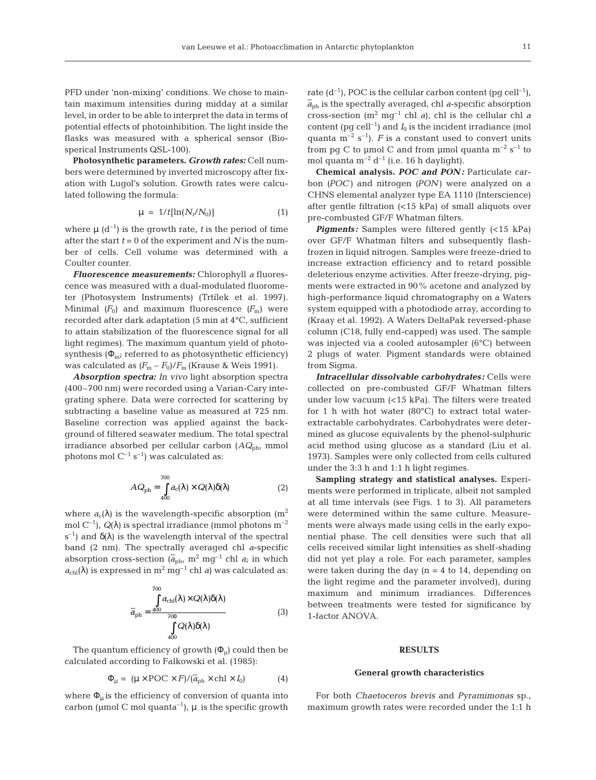PFD under 'non-mixing' conditions. We chose to maintain maximum intensities during midday at a similar level, in order to be able to interpret the data in terms of potential effects of photoinhibition. The light inside the flasks was measured with a spherical sensor (Biosperical Instruments QSL-100).

**Photosynthetic parameters.** *Growth rates:* Cell numbers were determined by inverted microscopy after fixation with Lugol's solution. Growth rates were calculated following the formula:

$$
\mu = 1/t[\ln(N_t/N_0)] \tag{1}
$$

where  $\mu$  (d<sup>-1</sup>) is the growth rate, *t* is the period of time after the start  $t = 0$  of the experiment and  $N$  is the number of cells. Cell volume was determined with a Coulter counter.

*Fluorescence measurements:* Chlorophyll *a* fluorescence was measured with a dual-modulated fluorometer (Photosystem Instruments) (Trtílek et al. 1997). Minimal  $(F_0)$  and maximum fluorescence  $(F_m)$  were recorded after dark adaptation (5 min at 4°C, sufficient to attain stabilization of the fluorescence signal for all light regimes). The maximum quantum yield of photosynthesis ( $\Phi_{\rm m}$ ; referred to as photosynthetic efficiency) was calculated as  $(F_m - F_0)/F_m$  (Krause & Weis 1991).

*Absorption spectra: In vivo* light absorption spectra (400–700 nm) were recorded using a Varian-Cary integrating sphere. Data were corrected for scattering by subtracting a baseline value as measured at 725 nm. Baseline correction was applied against the background of filtered seawater medium. The total spectral irradiance absorbed per cellular carbon (*AQ*ph, mmol photons mol  $C^{-1}$  s<sup>-1</sup>) was calculated as:

$$
AQ_{\text{ph}} = \int_{400}^{700} a_{\text{c}}(\lambda) \times Q(\lambda) \delta(\lambda)
$$
 (2)

where  $a_c(\lambda)$  is the wavelength-specific absorption (m<sup>2</sup> mol C<sup>-1</sup>),  $Q(\lambda)$  is spectral irradiance (mmol photons m<sup>-2</sup> s<sup>-1</sup>) and  $\delta(\lambda)$  is the wavelength interval of the spectral band (2 nm). The spectrally averaged chl *a*-specific absorption cross-section  $(\bar{a}_{ph}$ ,  $m^2$  mg<sup>-1</sup> chl *a*; in which  $a_{\text{chl}}(\lambda)$  is expressed in  $m^2$  mg<sup>-1</sup> chl *a*) was calculated as:

$$
\overline{a}_{\rm ph} = \frac{\int_{0}^{700} a_{\rm chl}(\lambda) \times Q(\lambda) \delta(\lambda)}{\int_{400}^{700} Q(\lambda) \delta(\lambda)}
$$
(3)

The quantum efficiency of growth  $(\Phi_{\mu})$  could then be calculated according to Falkowski et al. (1985):

$$
\Phi_{\mu} = (\mu \times \text{POC} \times F) / (\overline{a}_{\text{ph}} \times \text{chl} \times I_0)
$$
 (4)

where  $\Phi_{\mu}$  is the efficiency of conversion of quanta into carbon ( $\mu$ mol C mol quanta<sup>-1</sup>),  $\mu$  is the specific growth

rate  $(d^{-1})$ , POC is the cellular carbon content (pg cell<sup>-1</sup>),  $\overline{a}_{\rm ph}$  is the spectrally averaged, chl *a*-specific absorption cross-section  $(m^2 \text{ mg}^{-1} \text{ chl } a)$ , chl is the cellular chl *a* content (pg cell<sup>-1</sup>) and  $I_0$  is the incident irradiance (mol quanta  $m^{-2}$  s<sup>-1</sup>). *F* is a constant used to convert units from pg C to µmol C and from µmol quanta  $m^{-2}$  s<sup>-1</sup> to mol quanta  $m^{-2} d^{-1}$  (i.e. 16 h daylight).

**Chemical analysis.** *POC and PON :* Particulate carbon *(POC)* and nitrogen *(PON)* were analyzed on a CHNS elemental analyzer type EA 1110 (Interscience) after gentle filtration (<15 kPa) of small aliquots over pre-combusted GF/F Whatman filters.

*Pigments:* Samples were filtered gently (<15 kPa) over GF/F Whatman filters and subsequently flashfrozen in liquid nitrogen. Samples were freeze-dried to increase extraction efficiency and to retard possible deleterious enzyme activities. After freeze-drying, pigments were extracted in 90% acetone and analyzed by high-performance liquid chromatography on a Waters system equipped with a photodiode array, according to (Kraay et al. 1992). A Waters DeltaPak reversed-phase column (C18, fully end-capped) was used. The sample was injected via a cooled autosampler (6°C) between 2 plugs of water. Pigment standards were obtained from Sigma.

*Intracellular dissolvable carbohydrates:* Cells were collected on pre-combusted GF/F Whatman filters under low vacuum (<15 kPa). The filters were treated for 1 h with hot water  $(80^{\circ}C)$  to extract total waterextractable carbohydrates. Carbohydrates were determined as glucose equivalents by the phenol-sulphuric acid method using glucose as a standard (Liu et al. 1973). Samples were only collected from cells cultured under the 3:3 h and 1:1 h light regimes.

**Sampling strategy and statistical analyses.** Experiments were performed in triplicate, albeit not sampled at all time intervals (see Figs. 1 to 3). All parameters were determined within the same culture. Measurements were always made using cells in the early exponential phase. The cell densities were such that all cells received similar light intensities as shelf-shading did not yet play a role. For each parameter, samples were taken during the day  $(n = 4$  to 14, depending on the light regime and the parameter involved), during maximum and minimum irradiances. Differences between treatments were tested for significance by 1-factor ANOVA.

#### **RESULTS**

#### **General growth characteristics**

For both *Chaetoceros brevis* and *Pyramimonas* sp., maximum growth rates were recorded under the 1:1 h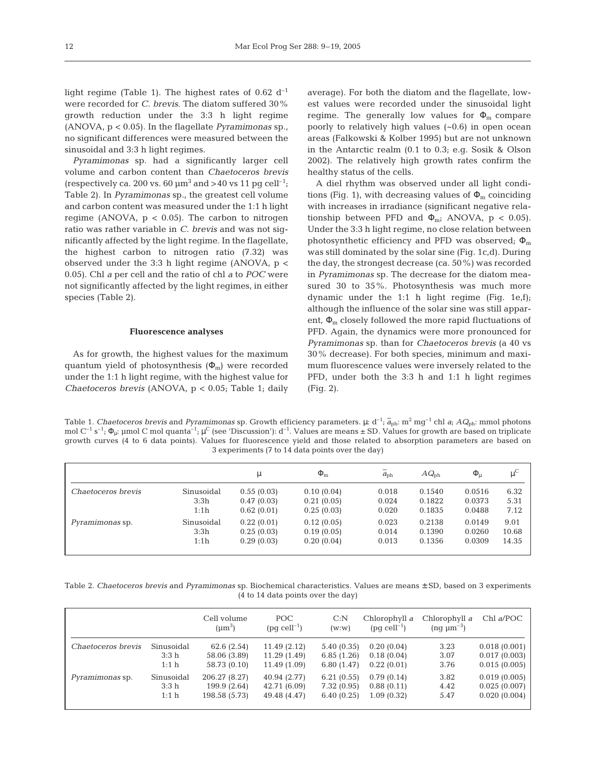light regime (Table 1). The highest rates of 0.62  $d^{-1}$ were recorded for *C. brevis*. The diatom suffered 30% growth reduction under the 3:3 h light regime (ANOVA, p < 0.05). In the flagellate *Pyramimonas* sp., no significant differences were measured between the sinusoidal and 3:3 h light regimes.

*Pyramimonas* sp. had a significantly larger cell volume and carbon content than *Chaetoceros brevis* (respectively ca. 200 vs. 60  $\mu$ m<sup>3</sup> and > 40 vs 11 pg cell<sup>-1</sup>; Table 2). In *Pyramimonas* sp., the greatest cell volume and carbon content was measured under the 1:1 h light regime (ANOVA,  $p < 0.05$ ). The carbon to nitrogen ratio was rather variable in *C. brevis* and was not significantly affected by the light regime. In the flagellate, the highest carbon to nitrogen ratio (7.32) was observed under the 3:3 h light regime (ANOVA, p < 0.05). Chl *a* per cell and the ratio of chl *a* to *POC* were not significantly affected by the light regimes, in either species (Table 2).

#### **Fluorescence analyses**

As for growth, the highest values for the maximum quantum yield of photosynthesis  $(\Phi_m)$  were recorded under the 1:1 h light regime, with the highest value for *Chaetoceros brevis* (ANOVA, p < 0.05; Table 1; daily average). For both the diatom and the flagellate, lowest values were recorded under the sinusoidal light regime. The generally low values for  $\Phi_{\rm m}$  compare poorly to relatively high values (~0.6) in open ocean areas (Falkowski & Kolber 1995) but are not unknown in the Antarctic realm (0.1 to 0.3; e.g. Sosik & Olson 2002). The relatively high growth rates confirm the healthy status of the cells.

A diel rhythm was observed under all light conditions (Fig. 1), with decreasing values of  $\Phi_{\rm m}$  coinciding with increases in irradiance (significant negative relationship between PFD and  $\Phi_{\rm m}$ ; ANOVA, p < 0.05). Under the 3:3 h light regime, no close relation between photosynthetic efficiency and PFD was observed;  $\Phi_{\rm m}$ was still dominated by the solar sine (Fig. 1c,d). During the day, the strongest decrease (ca. 50%) was recorded in *Pyramimonas* sp. The decrease for the diatom measured 30 to 35%. Photosynthesis was much more dynamic under the 1:1 h light regime (Fig. 1e,f); although the influence of the solar sine was still apparent,  $\Phi_{\rm m}$  closely followed the more rapid fluctuations of PFD. Again, the dynamics were more pronounced for *Pyramimonas* sp. than for *Chaetoceros brevis* (a 40 vs 30% decrease). For both species, minimum and maximum fluorescence values were inversely related to the PFD, under both the 3:3 h and 1:1 h light regimes (Fig. 2).

Table 1. *Chaetoceros brevis* and *Pyramimonas* sp. Growth efficiency parameters.  $\mu$ : d<sup>-1</sup>;  $\overline{a}_{ph}$ : m<sup>2</sup> mg<sup>-1</sup> chl *a*;  $AQ_{ph}$ : mmol photons mol  $C^{-1}$  s<sup>-1</sup>;  $\Phi_u$ : µmol C mol quanta<sup>-1</sup>;  $\mu^C$  (see 'Discussion'): d<sup>-1</sup>. Values are means  $\pm$  SD. Values for growth are based on triplicate growth curves (4 to 6 data points). Values for fluorescence yield and those related to absorption parameters are based on 3 experiments (7 to 14 data points over the day)

|                        |                            | μ                                      | $\Phi_{\rm m}$                         | $\bar{a}_{\rm ph}$      | $AQ_{\rm nh}$              | $\Phi_{\mu}$               | $\mu^C$                |
|------------------------|----------------------------|----------------------------------------|----------------------------------------|-------------------------|----------------------------|----------------------------|------------------------|
| Chaetoceros brevis     | Sinusoidal<br>3:3h         | 0.55(0.03)<br>0.47(0.03)               | 0.10(0.04)<br>0.21(0.05)               | 0.018<br>0.024          | 0.1540<br>0.1822           | 0.0516<br>0.0373           | 6.32<br>5.31           |
|                        | 1:1h                       | 0.62(0.01)                             | 0.25(0.03)                             | 0.020                   | 0.1835                     | 0.0488                     | 7.12                   |
| <i>Pyramimonas</i> sp. | Sinusoidal<br>3:3h<br>1:1h | 0.22(0.01)<br>0.25(0.03)<br>0.29(0.03) | 0.12(0.05)<br>0.19(0.05)<br>0.20(0.04) | 0.023<br>0.014<br>0.013 | 0.2138<br>0.1390<br>0.1356 | 0.0149<br>0.0260<br>0.0309 | 9.01<br>10.68<br>14.35 |
|                        |                            |                                        |                                        |                         |                            |                            |                        |

Table 2. *Chaetoceros brevis* and *Pyramimonas* sp. Biochemical characteristics. Values are means ± SD, based on 3 experiments (4 to 14 data points over the day)

|                    |                  | Cell volume<br>$(\mu m^3)$ | POC.<br>$(pq$ cell <sup>-1</sup> ) | C: N<br>(w:w) | Chlorophyll a<br>$(pq$ cell <sup>-1</sup> ) | Chlorophyll a<br>$(nq \mu m^{-3})$ | $Chl$ a/POC  |
|--------------------|------------------|----------------------------|------------------------------------|---------------|---------------------------------------------|------------------------------------|--------------|
| Chaetoceros brevis | Sinusoidal       | 62.6(2.54)                 | 11.49(2.12)                        | 5.40(0.35)    | 0.20(0.04)                                  | 3.23                               | 0.018(0.001) |
|                    | 3:3 <sub>h</sub> | 58.06 (3.89)               | 11.29 (1.49)                       | 6.85(1.26)    | 0.18(0.04)                                  | 3.07                               | 0.017(0.003) |
|                    | 1:1 <sub>h</sub> | 58.73 (0.10)               | 11.49 (1.09)                       | 6.80(1.47)    | 0.22(0.01)                                  | 3.76                               | 0.015(0.005) |
| Pyramimonas sp.    | Sinusoidal       | 206.27 (8.27)              | 40.94 (2.77)                       | 6.21(0.55)    | 0.79(0.14)                                  | 3.82                               | 0.019(0.005) |
|                    | 3:3 <sub>h</sub> | 199.9 (2.64)               | 42.71 (6.09)                       | 7.32(0.95)    | 0.88(0.11)                                  | 4.42                               | 0.025(0.007) |
|                    | 1:1 <sub>h</sub> | 198.58 (5.73)              | 49.48 (4.47)                       | 6.40(0.25)    | 1.09(0.32)                                  | 5.47                               | 0.020(0.004) |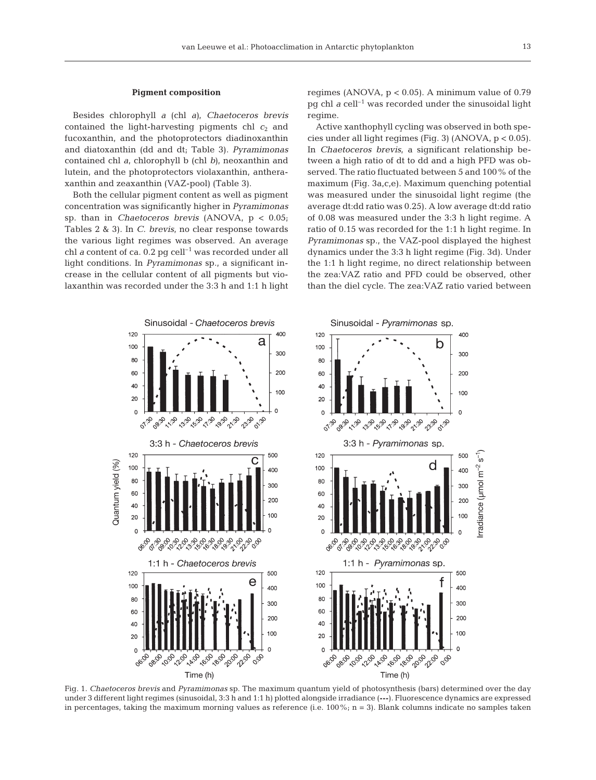#### **Pigment composition**

Besides chlorophyll *a* (chl *a)*, *Chaetoceros brevis* contained the light-harvesting pigments chl  $c_2$  and fucoxanthin, and the photoprotectors diadinoxanthin and diatoxanthin (dd and dt; Table 3). *Pyramimonas* contained chl *a*, chlorophyll b (chl *b)*, neoxanthin and lutein, and the photoprotectors violaxanthin, antheraxanthin and zeaxanthin (VAZ-pool) (Table 3).

Both the cellular pigment content as well as pigment concentration was significantly higher in *Pyramimonas* sp. than in *Chaetoceros brevis* (ANOVA, p < 0.05; Tables 2 & 3). In *C. brevis*, no clear response towards the various light regimes was observed. An average chl *a* content of ca.  $0.2$  pg cell<sup>-1</sup> was recorded under all light conditions. In *Pyramimonas* sp., a significant increase in the cellular content of all pigments but violaxanthin was recorded under the 3:3 h and 1:1 h light

regimes (ANOVA,  $p < 0.05$ ). A minimum value of  $0.79$ pg chl  $a$  cell<sup>-1</sup> was recorded under the sinusoidal light regime.

Active xanthophyll cycling was observed in both species under all light regimes (Fig. 3) (ANOVA, p < 0.05). In *Chaetoceros brevis*, a significant relationship between a high ratio of dt to dd and a high PFD was observed. The ratio fluctuated between 5 and 100% of the maximum (Fig. 3a,c,e). Maximum quenching potential was measured under the sinusoidal light regime (the average dt:dd ratio was 0.25). A low average dt:dd ratio of 0.08 was measured under the 3:3 h light regime. A ratio of 0.15 was recorded for the 1:1 h light regime. In *Pyramimonas* sp., the VAZ-pool displayed the highest dynamics under the 3:3 h light regime (Fig. 3d). Under the 1:1 h light regime, no direct relationship between the zea:VAZ ratio and PFD could be observed, other than the diel cycle. The zea:VAZ ratio varied between



Fig. 1. *Chaetoceros brevis* and *Pyramimonas* sp. The maximum quantum yield of photosynthesis (bars) determined over the day under 3 different light regimes (sinusoidal, 3:3 h and 1:1 h) plotted alongside irradiance (---). Fluorescence dynamics are expressed in percentages, taking the maximum morning values as reference (i.e.  $100\%$ ; n = 3). Blank columns indicate no samples taken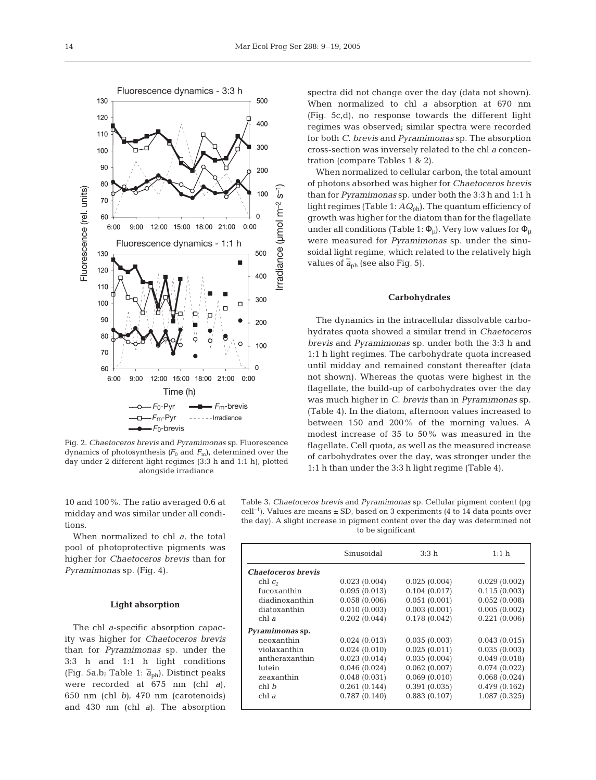

Fig. 2. *Chaetoceros brevis* and *Pyramimonas* sp. Fluorescence dynamics of photosynthesis  $(F_0$  and  $F_m$ ), determined over the day under 2 different light regimes (3:3 h and 1:1 h), plotted alongside irradiance

spectra did not change over the day (data not shown). When normalized to chl *a* absorption at 670 nm (Fig. 5c,d), no response towards the different light regimes was observed; similar spectra were recorded for both *C. brevis* and *Pyramimonas* sp. The absorption cross-section was inversely related to the chl *a* concentration (compare Tables 1 & 2).

When normalized to cellular carbon, the total amount of photons absorbed was higher for *Chaetoceros brevis* than for *Pyramimonas* sp. under both the 3:3 h and 1:1 h light regimes (Table 1:  $AQ<sub>ph</sub>$ ). The quantum efficiency of growth was higher for the diatom than for the flagellate under all conditions (Table 1:  $\Phi_{\mu}$ ). Very low values for  $\Phi_{\mu}$ were measured for *Pyramimonas* sp. under the sinusoidal light regime, which related to the relatively high values of  $\overline{a}_{ph}$  (see also Fig. 5).

# **Carbohydrates**

The dynamics in the intracellular dissolvable carbohydrates quota showed a similar trend in *Chaetoceros brevis* and *Pyramimonas* sp. under both the 3:3 h and 1:1 h light regimes. The carbohydrate quota increased until midday and remained constant thereafter (data not shown). Whereas the quotas were highest in the flagellate, the build-up of carbohydrates over the day was much higher in *C. brevis* than in *Pyramimonas* sp. (Table 4). In the diatom, afternoon values increased to between 150 and 200% of the morning values. A modest increase of 35 to 50% was measured in the flagellate. Cell quota, as well as the measured increase of carbohydrates over the day, was stronger under the 1:1 h than under the 3:3 h light regime (Table 4).

10 and 100%. The ratio averaged 0.6 at midday and was similar under all conditions.

When normalized to chl *a*, the total pool of photoprotective pigments was higher for *Chaetoceros brevis* than for *Pyramimonas* sp. (Fig. 4).

## **Light absorption**

The chl *a*-specific absorption capacity was higher for *Chaetoceros brevis* than for *Pyramimonas* sp. under the 3:3 h and 1:1 h light conditions (Fig. 5a,b; Table 1:  $\overline{a}_{ph}$ ). Distinct peaks were recorded at 675 nm (chl *a*), 650 nm (chl *b)*, 470 nm (carotenoids) and 430 nm (chl *a)*. The absorption Table 3. *Chaetoceros brevis* and *Pyramimonas* sp. Cellular pigment content (pg cell<sup>-1</sup>). Values are means  $\pm$  SD, based on 3 experiments (4 to 14 data points over the day). A slight increase in pigment content over the day was determined not to be significant

|                           | Sinusoidal   | 3:3 h        | 1:1 h         |
|---------------------------|--------------|--------------|---------------|
| <b>Chaetoceros brevis</b> |              |              |               |
| chl c <sub>2</sub>        | 0.023(0.004) | 0.025(0.004) | 0.029(0.002)  |
| fucoxanthin               | 0.095(0.013) | 0.104(0.017) | 0.115(0.003)  |
| diadinoxanthin            | 0.058(0.006) | 0.051(0.001) | 0.052(0.008)  |
| diatoxanthin              | 0.010(0.003) | 0.003(0.001) | 0.005(0.002)  |
| chl a                     | 0.202(0.044) | 0.178(0.042) | 0.221(0.006)  |
| Pyramimonas sp.           |              |              |               |
| neoxanthin                | 0.024(0.013) | 0.035(0.003) | 0.043(0.015)  |
| violaxanthin              | 0.024(0.010) | 0.025(0.011) | 0.035(0.003)  |
| antheraxanthin            | 0.023(0.014) | 0.035(0.004) | 0.049(0.018)  |
| lutein                    | 0.046(0.024) | 0.062(0.007) | 0.074(0.022)  |
| zeaxanthin                | 0.048(0.031) | 0.069(0.010) | 0.068(0.024)  |
| $chl$ $hl$                | 0.261(0.144) | 0.391(0.035) | 0.479(0.162)  |
| chl a                     | 0.787(0.140) | 0.883(0.107) | 1.087 (0.325) |
|                           |              |              |               |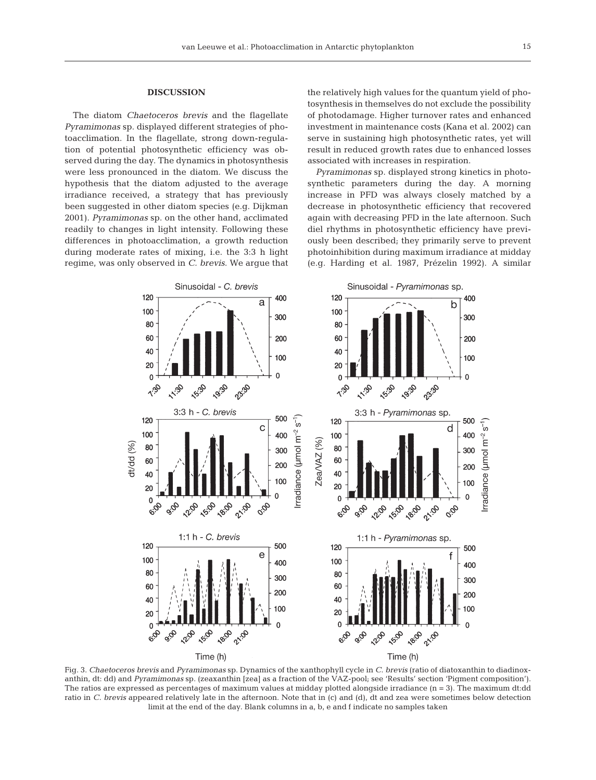#### **DISCUSSION**

The diatom *Chaetoceros brevis* and the flagellate *Pyramimonas* sp. displayed different strategies of photoacclimation. In the flagellate, strong down-regulation of potential photosynthetic efficiency was observed during the day. The dynamics in photosynthesis were less pronounced in the diatom. We discuss the hypothesis that the diatom adjusted to the average irradiance received, a strategy that has previously been suggested in other diatom species (e.g. Dijkman 2001). *Pyramimonas* sp. on the other hand, acclimated readily to changes in light intensity. Following these differences in photoacclimation, a growth reduction during moderate rates of mixing, i.e. the 3:3 h light regime, was only observed in *C. brevis*. We argue that the relatively high values for the quantum yield of photosynthesis in themselves do not exclude the possibility of photodamage. Higher turnover rates and enhanced investment in maintenance costs (Kana et al. 2002) can serve in sustaining high photosynthetic rates, yet will result in reduced growth rates due to enhanced losses associated with increases in respiration.

*Pyramimonas* sp. displayed strong kinetics in photosynthetic parameters during the day. A morning increase in PFD was always closely matched by a decrease in photosynthetic efficiency that recovered again with decreasing PFD in the late afternoon. Such diel rhythms in photosynthetic efficiency have previously been described; they primarily serve to prevent photoinhibition during maximum irradiance at midday (e.g. Harding et al. 1987, Prézelin 1992). A similar



Fig. 3. *Chaetoceros brevis* and *Pyramimonas* sp. Dynamics of the xanthophyll cycle in *C. brevis* (ratio of diatoxanthin to diadinoxanthin, dt: dd) and *Pyramimonas* sp. (zeaxanthin [zea] as a fraction of the VAZ-pool; see 'Results' section 'Pigment composition'). The ratios are expressed as percentages of maximum values at midday plotted alongside irradiance (n = 3). The maximum dt:dd ratio in *C. brevis* appeared relatively late in the afternoon. Note that in (c) and (d), dt and zea were sometimes below detection limit at the end of the day. Blank columns in a, b, e and f indicate no samples taken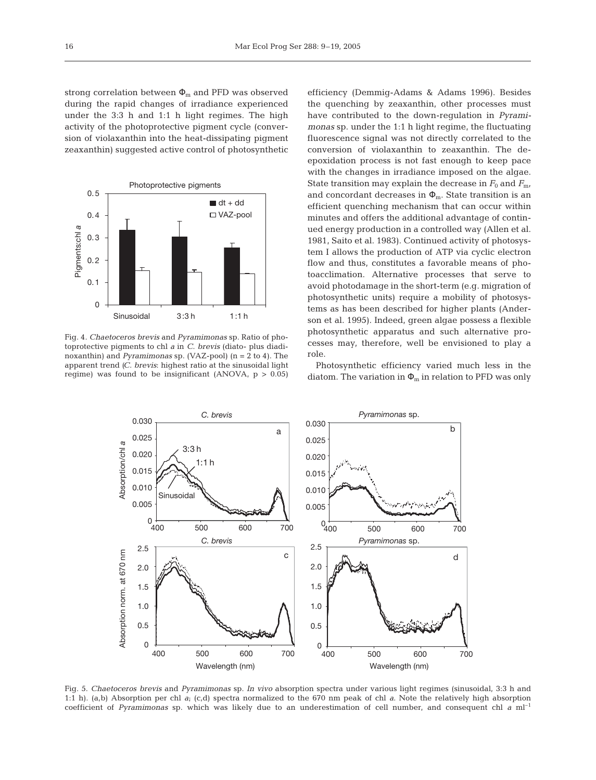strong correlation between  $\Phi_m$  and PFD was observed during the rapid changes of irradiance experienced under the 3:3 h and 1:1 h light regimes. The high activity of the photoprotective pigment cycle (conversion of violaxanthin into the heat-dissipating pigment zeaxanthin) suggested active control of photosynthetic



Fig. 4. *Chaetoceros brevis* and *Pyramimonas* sp. Ratio of photoprotective pigments to chl *a* in *C. brevis* (diato- plus diadinoxanthin) and *Pyramimonas* sp. (VAZ-pool) (n = 2 to 4). The apparent trend *(C. brevis*: highest ratio at the sinusoidal light regime) was found to be insignificant (ANOVA,  $p > 0.05$ )

efficiency (Demmig-Adams & Adams 1996). Besides the quenching by zeaxanthin, other processes must have contributed to the down-regulation in *Pyramimonas* sp. under the 1:1 h light regime, the fluctuating fluorescence signal was not directly correlated to the conversion of violaxanthin to zeaxanthin. The deepoxidation process is not fast enough to keep pace with the changes in irradiance imposed on the algae. State transition may explain the decrease in  $F_0$  and  $F_{\text{m}}$ , and concordant decreases in  $\Phi_{m}$ . State transition is an efficient quenching mechanism that can occur within minutes and offers the additional advantage of continued energy production in a controlled way (Allen et al. 1981, Saito et al. 1983). Continued activity of photosystem I allows the production of ATP via cyclic electron flow and thus, constitutes a favorable means of photoacclimation. Alternative processes that serve to avoid photodamage in the short-term (e.g. migration of photosynthetic units) require a mobility of photosystems as has been described for higher plants (Anderson et al. 1995). Indeed, green algae possess a flexible photosynthetic apparatus and such alternative processes may, therefore, well be envisioned to play a role.

Photosynthetic efficiency varied much less in the diatom. The variation in  $\Phi_m$  in relation to PFD was only



Fig. 5. *Chaetoceros brevis* and *Pyramimonas* sp. *In vivo* absorption spectra under various light regimes (sinusoidal, 3:3 h and 1:1 h). (a,b) Absorption per chl *a*; (c,d) spectra normalized to the 670 nm peak of chl *a*. Note the relatively high absorption coefficient of *Pyramimonas* sp. which was likely due to an underestimation of cell number, and consequent chl *a* ml<sup>-1</sup>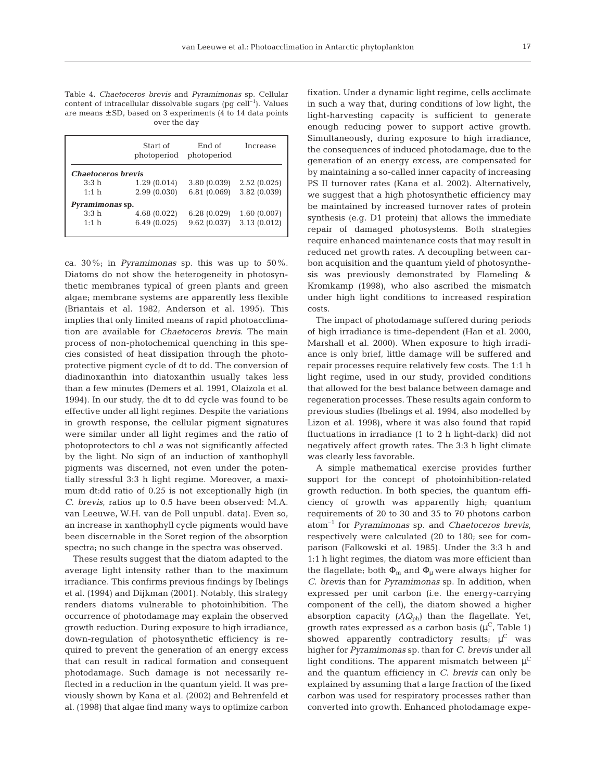Table 4. *Chaetoceros brevis* and *Pyramimonas* sp. Cellular content of intracellular dissolvable sugars (pg  $cell^{-1}$ ). Values are means ± SD, based on 3 experiments (4 to 14 data points over the day

|                           | Start of<br>photoperiod | End of<br>photoperiod | Increase     |
|---------------------------|-------------------------|-----------------------|--------------|
| <b>Chaetoceros brevis</b> |                         |                       |              |
| 3:3 <sub>h</sub>          | 1.29(0.014)             | 3.80(0.039)           | 2.52(0.025)  |
| 1:1 h                     | 2.99(0.030)             | 6.81(0.069)           | 3.82 (0.039) |
| <i>Pyramimonas</i> sp.    |                         |                       |              |
| 3:3h                      | 4.68 (0.022)            | 6.28(0.029)           | 1.60(0.007)  |
| 1:1 h                     | 6.49(0.025)             | 9.62(0.037)           | 3.13(0.012)  |
|                           |                         |                       |              |

ca. 30%; in *Pyramimonas* sp. this was up to 50%. Diatoms do not show the heterogeneity in photosynthetic membranes typical of green plants and green algae; membrane systems are apparently less flexible (Briantais et al. 1982, Anderson et al. 1995). This implies that only limited means of rapid photoacclimation are available for *Chaetoceros brevis*. The main process of non-photochemical quenching in this species consisted of heat dissipation through the photoprotective pigment cycle of dt to dd. The conversion of diadinoxanthin into diatoxanthin usually takes less than a few minutes (Demers et al. 1991, Olaizola et al. 1994). In our study, the dt to dd cycle was found to be effective under all light regimes. Despite the variations in growth response, the cellular pigment signatures were similar under all light regimes and the ratio of photoprotectors to chl *a* was not significantly affected by the light. No sign of an induction of xanthophyll pigments was discerned, not even under the potentially stressful 3:3 h light regime. Moreover, a maximum dt:dd ratio of 0.25 is not exceptionally high (in *C. brevis*, ratios up to 0.5 have been observed: M.A. van Leeuwe, W.H. van de Poll unpubl. data). Even so, an increase in xanthophyll cycle pigments would have been discernable in the Soret region of the absorption spectra; no such change in the spectra was observed.

These results suggest that the diatom adapted to the average light intensity rather than to the maximum irradiance. This confirms previous findings by Ibelings et al. (1994) and Dijkman (2001). Notably, this strategy renders diatoms vulnerable to photoinhibition. The occurrence of photodamage may explain the observed growth reduction. During exposure to high irradiance, down-regulation of photosynthetic efficiency is required to prevent the generation of an energy excess that can result in radical formation and consequent photodamage. Such damage is not necessarily reflected in a reduction in the quantum yield. It was previously shown by Kana et al. (2002) and Behrenfeld et al. (1998) that algae find many ways to optimize carbon

fixation. Under a dynamic light regime, cells acclimate in such a way that, during conditions of low light, the light-harvesting capacity is sufficient to generate enough reducing power to support active growth. Simultaneously, during exposure to high irradiance, the consequences of induced photodamage, due to the generation of an energy excess, are compensated for by maintaining a so-called inner capacity of increasing PS II turnover rates (Kana et al. 2002). Alternatively, we suggest that a high photosynthetic efficiency may be maintained by increased turnover rates of protein synthesis (e.g. D1 protein) that allows the immediate repair of damaged photosystems. Both strategies require enhanced maintenance costs that may result in reduced net growth rates. A decoupling between carbon acquisition and the quantum yield of photosynthesis was previously demonstrated by Flameling & Kromkamp (1998), who also ascribed the mismatch under high light conditions to increased respiration costs.

The impact of photodamage suffered during periods of high irradiance is time-dependent (Han et al. 2000, Marshall et al. 2000). When exposure to high irradiance is only brief, little damage will be suffered and repair processes require relatively few costs. The 1:1 h light regime, used in our study, provided conditions that allowed for the best balance between damage and regeneration processes. These results again conform to previous studies (Ibelings et al. 1994, also modelled by Lizon et al. 1998), where it was also found that rapid fluctuations in irradiance (1 to 2 h light-dark) did not negatively affect growth rates. The 3:3 h light climate was clearly less favorable.

A simple mathematical exercise provides further support for the concept of photoinhibition-related growth reduction. In both species, the quantum efficiency of growth was apparently high; quantum requirements of 20 to 30 and 35 to 70 photons carbon atom–1 for *Pyramimonas* sp. and *Chaetoceros brevis*, respectively were calculated (20 to 180; see for comparison (Falkowski et al. 1985). Under the 3:3 h and 1:1 h light regimes, the diatom was more efficient than the flagellate; both  $\Phi_m$  and  $\Phi_\mu$  were always higher for *C. brevis* than for *Pyramimonas* sp. In addition, when expressed per unit carbon (i.e. the energy-carrying component of the cell), the diatom showed a higher absorption capacity (*AQ*ph) than the flagellate. Yet, growth rates expressed as a carbon basis  $(\mu^C,$  Table 1) showed apparently contradictory results;  $\mu^C$  was higher for *Pyramimonas* sp. than for *C. brevis* under all light conditions. The apparent mismatch between  $\mu^C$ and the quantum efficiency in *C. brevis* can only be explained by assuming that a large fraction of the fixed carbon was used for respiratory processes rather than converted into growth. Enhanced photodamage expe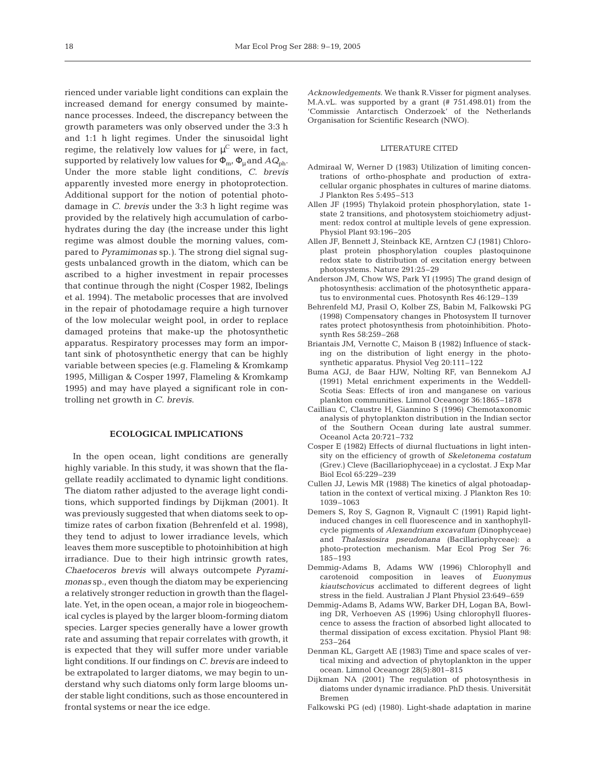rienced under variable light conditions can explain the increased demand for energy consumed by maintenance processes. Indeed, the discrepancy between the growth parameters was only observed under the 3:3 h and 1:1 h light regimes. Under the sinusoidal light regime, the relatively low values for  $\mu^{\text{\scriptsize C}}$  were, in fact, supported by relatively low values for  $\Phi_{m}$ ,  $\Phi_{u}$  and  $AQ_{ph}$ . Under the more stable light conditions, *C. brevis* apparently invested more energy in photoprotection. Additional support for the notion of potential photodamage in *C. brevis* under the 3:3 h light regime was provided by the relatively high accumulation of carbohydrates during the day (the increase under this light regime was almost double the morning values, compared to *Pyramimonas* sp.*)*. The strong diel signal suggests unbalanced growth in the diatom, which can be ascribed to a higher investment in repair processes that continue through the night (Cosper 1982, Ibelings et al. 1994). The metabolic processes that are involved in the repair of photodamage require a high turnover of the low molecular weight pool, in order to replace damaged proteins that make-up the photosynthetic apparatus. Respiratory processes may form an important sink of photosynthetic energy that can be highly variable between species (e.g. Flameling & Kromkamp 1995, Milligan & Cosper 1997, Flameling & Kromkamp 1995) and may have played a significant role in controlling net growth in *C. brevis*.

#### **ECOLOGICAL IMPLICATIONS**

In the open ocean, light conditions are generally highly variable. In this study, it was shown that the flagellate readily acclimated to dynamic light conditions. The diatom rather adjusted to the average light conditions, which supported findings by Dijkman (2001). It was previously suggested that when diatoms seek to optimize rates of carbon fixation (Behrenfeld et al. 1998), they tend to adjust to lower irradiance levels, which leaves them more susceptible to photoinhibition at high irradiance. Due to their high intrinsic growth rates, *Chaetoceros brevis* will always outcompete *Pyramimonas* sp., even though the diatom may be experiencing a relatively stronger reduction in growth than the flagellate. Yet, in the open ocean, a major role in biogeochemical cycles is played by the larger bloom-forming diatom species. Larger species generally have a lower growth rate and assuming that repair correlates with growth, it is expected that they will suffer more under variable light conditions. If our findings on *C. brevis* are indeed to be extrapolated to larger diatoms, we may begin to understand why such diatoms only form large blooms under stable light conditions, such as those encountered in frontal systems or near the ice edge.

*Acknowledgements*. We thank R.Visser for pigment analyses. M.A.vL. was supported by a grant (# 751.498.01) from the 'Commissie Antarctisch Onderzoek' of the Netherlands Organisation for Scientific Research (NWO).

#### LITERATURE CITED

- Admiraal W, Werner D (1983) Utilization of limiting concentrations of ortho-phosphate and production of extracellular organic phosphates in cultures of marine diatoms. J Plankton Res 5:495–513
- Allen JF (1995) Thylakoid protein phosphorylation, state 1 state 2 transitions, and photosystem stoichiometry adjustment: redox control at multiple levels of gene expression. Physiol Plant 93:196–205
- Allen JF, Bennett J, Steinback KE, Arntzen CJ (1981) Chloroplast protein phosphorylation couples plastoquinone redox state to distribution of excitation energy between photosystems. Nature 291:25–29
- Anderson JM, Chow WS, Park YI (1995) The grand design of photosynthesis: acclimation of the photosynthetic apparatus to environmental cues. Photosynth Res 46:129–139
- Behrenfeld MJ, Prasil O, Kolber ZS, Babin M, Falkowski PG (1998) Compensatory changes in Photosystem II turnover rates protect photosynthesis from photoinhibition. Photosynth Res 58:259–268
- Briantais JM, Vernotte C, Maison B (1982) Influence of stacking on the distribution of light energy in the photosynthetic apparatus. Physiol Veg 20:111–122
- Buma AGJ, de Baar HJW, Nolting RF, van Bennekom AJ (1991) Metal enrichment experiments in the Weddell-Scotia Seas: Effects of iron and manganese on various plankton communities. Limnol Oceanogr 36:1865–1878
- Cailliau C, Claustre H, Giannino S (1996) Chemotaxonomic analysis of phytoplankton distribution in the Indian sector of the Southern Ocean during late austral summer. Oceanol Acta 20:721–732
- Cosper E (1982) Effects of diurnal fluctuations in light intensity on the efficiency of growth of *Skeletonema costatum* (Grev.) Cleve (Bacillariophyceae) in a cyclostat. J Exp Mar Biol Ecol 65:229–239
- Cullen JJ, Lewis MR (1988) The kinetics of algal photoadaptation in the context of vertical mixing. J Plankton Res 10: 1039–1063
- Demers S, Roy S, Gagnon R, Vignault C (1991) Rapid lightinduced changes in cell fluorescence and in xanthophyllcycle pigments of *Alexandrium excavatum* (Dinophyceae) and *Thalassiosira pseudonana* (Bacillariophyceae): a photo-protection mechanism. Mar Ecol Prog Ser 76: 185–193
- Demmig-Adams B, Adams WW (1996) Chlorophyll and carotenoid composition in leaves of *Euonymus kiautschovicus* acclimated to different degrees of light stress in the field. Australian J Plant Physiol 23:649–659
- Demmig-Adams B, Adams WW, Barker DH, Logan BA, Bowling DR, Verhoeven AS (1996) Using chlorophyll fluorescence to assess the fraction of absorbed light allocated to thermal dissipation of excess excitation. Physiol Plant 98: 253–264
- Denman KL, Gargett AE (1983) Time and space scales of vertical mixing and advection of phytoplankton in the upper ocean. Limnol Oceanogr 28(5):801–815
- Dijkman NA (2001) The regulation of photosynthesis in diatoms under dynamic irradiance. PhD thesis. Universität Bremen
- Falkowski PG (ed) (1980). Light-shade adaptation in marine